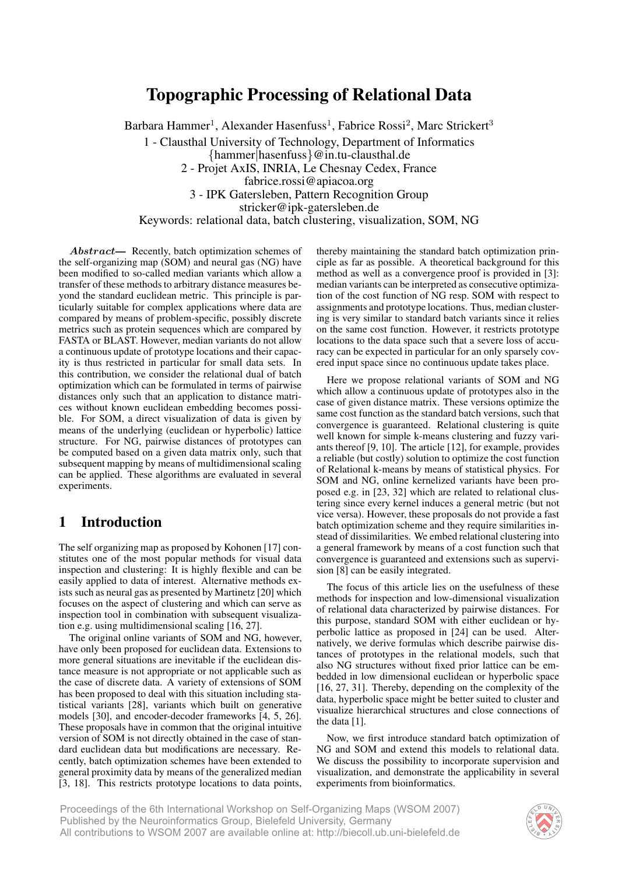# **Topographic Processing of Relational Data**

Barbara Hammer<sup>1</sup>, Alexander Hasenfuss<sup>1</sup>, Fabrice Rossi<sup>2</sup>, Marc Strickert<sup>3</sup> 1 - Clausthal University of Technology, Department of Informatics {hammer|hasenfuss}@in.tu-clausthal.de 2 - Projet AxIS, INRIA, Le Chesnay Cedex, France fabrice.rossi@apiacoa.org 3 - IPK Gatersleben, Pattern Recognition Group stricker@ipk-gatersleben.de Keywords: relational data, batch clustering, visualization, SOM, NG

Abstract— Recently, batch optimization schemes of the self-organizing map (SOM) and neural gas (NG) have been modified to so-called median variants which allow a transfer of these methods to arbitrary distance measures beyond the standard euclidean metric. This principle is particularly suitable for complex applications where data are compared by means of problem-specific, possibly discrete metrics such as protein sequences which are compared by FASTA or BLAST. However, median variants do not allow a continuous update of prototype locations and their capacity is thus restricted in particular for small data sets. In this contribution, we consider the relational dual of batch optimization which can be formulated in terms of pairwise distances only such that an application to distance matrices without known euclidean embedding becomes possible. For SOM, a direct visualization of data is given by means of the underlying (euclidean or hyperbolic) lattice structure. For NG, pairwise distances of prototypes can be computed based on a given data matrix only, such that subsequent mapping by means of multidimensional scaling can be applied. These algorithms are evaluated in several experiments.

## **1 Introduction**

The self organizing map as proposed by Kohonen [17] constitutes one of the most popular methods for visual data inspection and clustering: It is highly flexible and can be easily applied to data of interest. Alternative methods exists such as neural gas as presented by Martinetz [20] which focuses on the aspect of clustering and which can serve as inspection tool in combination with subsequent visualization e.g. using multidimensional scaling [16, 27].

The original online variants of SOM and NG, however, have only been proposed for euclidean data. Extensions to more general situations are inevitable if the euclidean distance measure is not appropriate or not applicable such as the case of discrete data. A variety of extensions of SOM has been proposed to deal with this situation including statistical variants [28], variants which built on generative models [30], and encoder-decoder frameworks [4, 5, 26]. These proposals have in common that the original intuitive version of SOM is not directly obtained in the case of standard euclidean data but modifications are necessary. Recently, batch optimization schemes have been extended to general proximity data by means of the generalized median [3, 18]. This restricts prototype locations to data points, thereby maintaining the standard batch optimization principle as far as possible. A theoretical background for this method as well as a convergence proof is provided in [3]: median variants can be interpreted as consecutive optimization of the cost function of NG resp. SOM with respect to assignments and prototype locations. Thus, median clustering is very similar to standard batch variants since it relies on the same cost function. However, it restricts prototype locations to the data space such that a severe loss of accuracy can be expected in particular for an only sparsely covered input space since no continuous update takes place.

Here we propose relational variants of SOM and NG which allow a continuous update of prototypes also in the case of given distance matrix. These versions optimize the same cost function as the standard batch versions, such that convergence is guaranteed. Relational clustering is quite well known for simple k-means clustering and fuzzy variants thereof [9, 10]. The article [12], for example, provides a reliable (but costly) solution to optimize the cost function of Relational k-means by means of statistical physics. For SOM and NG, online kernelized variants have been proposed e.g. in [23, 32] which are related to relational clustering since every kernel induces a general metric (but not vice versa). However, these proposals do not provide a fast batch optimization scheme and they require similarities instead of dissimilarities. We embed relational clustering into a general framework by means of a cost function such that convergence is guaranteed and extensions such as supervision [8] can be easily integrated.

The focus of this article lies on the usefulness of these methods for inspection and low-dimensional visualization of relational data characterized by pairwise distances. For this purpose, standard SOM with either euclidean or hyperbolic lattice as proposed in [24] can be used. Alternatively, we derive formulas which describe pairwise distances of prototypes in the relational models, such that also NG structures without fixed prior lattice can be embedded in low dimensional euclidean or hyperbolic space [16, 27, 31]. Thereby, depending on the complexity of the data, hyperbolic space might be better suited to cluster and visualize hierarchical structures and close connections of the data [1].

Now, we first introduce standard batch optimization of NG and SOM and extend this models to relational data. We discuss the possibility to incorporate supervision and visualization, and demonstrate the applicability in several experiments from bioinformatics.

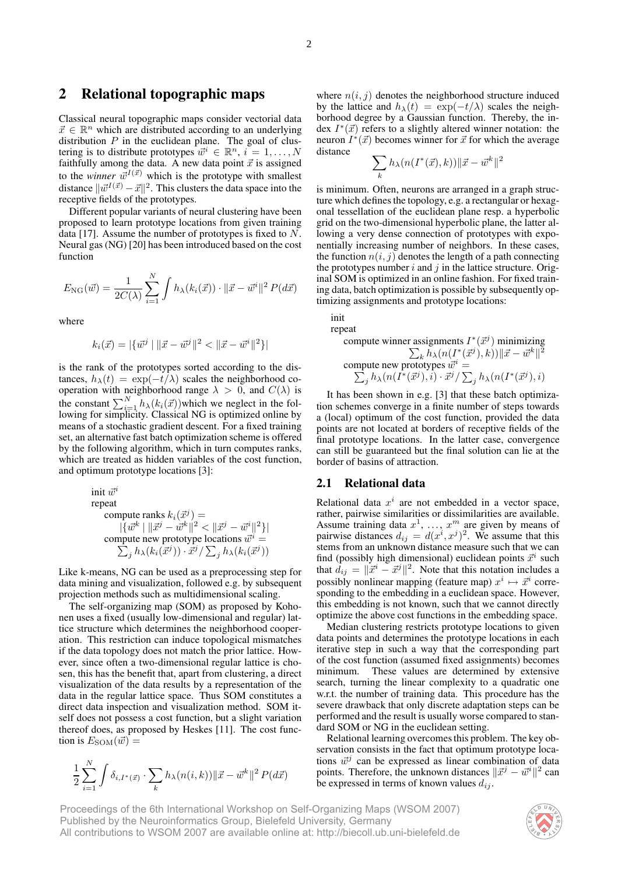# **2 Relational topographic maps**

Classical neural topographic maps consider vectorial data  $\vec{x} \in \mathbb{R}^n$  which are distributed according to an underlying distribution  $P$  in the euclidean plane. The goal of clustering is to distribute prototypes  $\vec{w}^i \in \mathbb{R}^n$ ,  $i = 1, ..., N$ faithfully among the data. A new data point  $\vec{x}$  is assigned to the *winner*  $\vec{w}^{I(\vec{x})}$  which is the prototype with smallest distance  $\|\vec{w}^{I(\vec{x})} - \vec{x}\|^2$ . This clusters the data space into the receptive fields of the prototypes.

Different popular variants of neural clustering have been proposed to learn prototype locations from given training data [17]. Assume the number of prototypes is fixed to  $N$ . Neural gas (NG) [20] has been introduced based on the cost function

$$
E_{\rm NG}(\vec{w}) = \frac{1}{2C(\lambda)} \sum_{i=1}^N \int h_{\lambda}(k_i(\vec{x})) \cdot ||\vec{x} - \vec{w}^i||^2 P(d\vec{x})
$$

where

$$
k_i(\vec{x}) = |\{\vec{w}^j \mid \|\vec{x} - \vec{w}^j\|^2 < \|\vec{x} - \vec{w}^i\|^2\}|
$$

is the rank of the prototypes sorted according to the distances,  $h_{\lambda}(t) = \exp(-t/\lambda)$  scales the neighborhood cooperation with neighborhood range  $\lambda > 0$ , and  $C(\lambda)$  is the constant  $\sum_{i=1}^{N} h_{\lambda}(k_i(\vec{x}))$  which we neglect in the following for simplicity. Classical NG is optimized online by means of a stochastic gradient descent. For a fixed training set, an alternative fast batch optimization scheme is offered by the following algorithm, which in turn computes ranks, which are treated as hidden variables of the cost function, and optimum prototype locations [3]:

init 
$$
\vec{w}^i
$$
\n\nrepeat\n\ncompute ranks  $k_i(\vec{x}^j) =$ \n $|\{\vec{w}^k \mid \|\vec{x}^j - \vec{w}^k\|^2 < \|\vec{x}^j - \vec{w}^i\|^2\}|$ \n\ncompute new prototype locations  $\vec{w}^i =$ \n $\sum_j h_\lambda(k_i(\vec{x}^j)) \cdot \vec{x}^j / \sum_j h_\lambda(k_i(\vec{x}^j))$ 

Like k-means, NG can be used as a preprocessing step for data mining and visualization, followed e.g. by subsequent projection methods such as multidimensional scaling.

The self-organizing map (SOM) as proposed by Kohonen uses a fixed (usually low-dimensional and regular) lattice structure which determines the neighborhood cooperation. This restriction can induce topological mismatches if the data topology does not match the prior lattice. However, since often a two-dimensional regular lattice is chosen, this has the benefit that, apart from clustering, a direct visualization of the data results by a representation of the data in the regular lattice space. Thus SOM constitutes a direct data inspection and visualization method. SOM itself does not possess a cost function, but a slight variation thereof does, as proposed by Heskes [11]. The cost function is  $E_{\text{SOM}}(\vec{w}) =$ 

$$
\frac{1}{2} \sum_{i=1}^{N} \int \delta_{i, I^*(\vec{x})} \cdot \sum_{k} h_{\lambda}(n(i,k)) \|\vec{x} - \vec{w}^k\|^2 P(d\vec{x})
$$

where  $n(i, j)$  denotes the neighborhood structure induced by the lattice and  $h_{\lambda}(t) = \exp(-t/\lambda)$  scales the neighborhood degree by a Gaussian function. Thereby, the index  $I^*(\vec{x})$  refers to a slightly altered winner notation: the neuron  $I^*(\vec{x})$  becomes winner for  $\vec{x}$  for which the average distance

$$
\sum_k h_\lambda(n(I^*(\vec{x}),k))\|\vec{x}-\vec{w}^k\|^2
$$

is minimum. Often, neurons are arranged in a graph structure which defines the topology, e.g. a rectangular or hexagonal tessellation of the euclidean plane resp. a hyperbolic grid on the two-dimensional hyperbolic plane, the latter allowing a very dense connection of prototypes with exponentially increasing number of neighbors. In these cases, the function  $n(i, j)$  denotes the length of a path connecting the prototypes number  $i$  and  $j$  in the lattice structure. Original SOM is optimized in an online fashion. For fixed training data, batch optimization is possible by subsequently optimizing assignments and prototype locations:

init repeat

compute winner assignments 
$$
I^*(\vec{x}^j)
$$
 minimizing  
\n
$$
\sum_k h_{\lambda}(n(I^*(\vec{x}^j), k)) \|\vec{x} - \vec{w}^k\|^2
$$
\ncompute new prototypes  $\vec{w}^i = \sum_j h_{\lambda}(n(I^*(\vec{x}^j), i) \cdot \vec{x}^j / \sum_j h_{\lambda}(n(I^*(\vec{x}^j), i))$ 

It has been shown in e.g. [3] that these batch optimization schemes converge in a finite number of steps towards a (local) optimum of the cost function, provided the data points are not located at borders of receptive fields of the final prototype locations. In the latter case, convergence can still be guaranteed but the final solution can lie at the border of basins of attraction.

#### **2.1 Relational data**

Relational data  $x^i$  are not embedded in a vector space, rather, pairwise similarities or dissimilarities are available. Assume training data  $x^1, \ldots, x^m$  are given by means of pairwise distances  $d_{ij} = d(x^i, x^j)^2$ . We assume that this stems from an unknown distance measure such that we can find (possibly high dimensional) euclidean points  $\vec{x}^i$  such that  $d_{ij} = ||\vec{x}^i - \vec{x}^j||^2$ . Note that this notation includes a possibly nonlinear mapping (feature map)  $x^i \mapsto \vec{x}^i$  corresponding to the embedding in a euclidean space. However, this embedding is not known, such that we cannot directly optimize the above cost functions in the embedding space.

Median clustering restricts prototype locations to given data points and determines the prototype locations in each iterative step in such a way that the corresponding part of the cost function (assumed fixed assignments) becomes These values are determined by extensive search, turning the linear complexity to a quadratic one w.r.t. the number of training data. This procedure has the severe drawback that only discrete adaptation steps can be performed and the result is usually worse compared to standard SOM or NG in the euclidean setting.

Relational learning overcomes this problem. The key observation consists in the fact that optimum prototype locations  $\vec{w}^j$  can be expressed as linear combination of data points. Therefore, the unknown distances  $\|\vec{x}^j - \vec{w}^i\|^2$  can be expressed in terms of known values  $d_{ij}$ .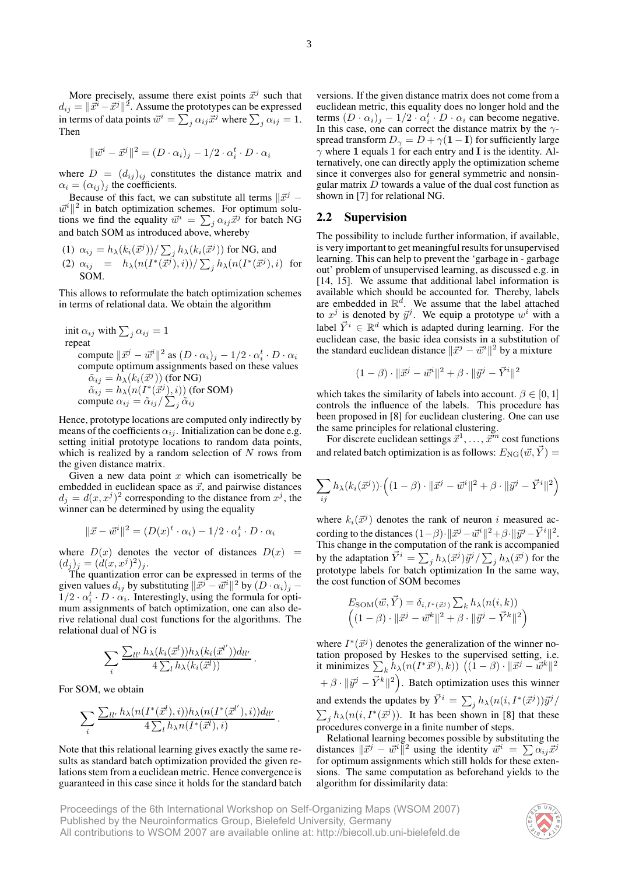More precisely, assume there exist points  $\vec{x}^j$  such that  $d_{ij} = ||\vec{x}^i - \vec{x}^j||^2$ . Assume the prototypes can be expressed in terms of data points  $\vec{w}^i = \sum_j \alpha_{ij} \vec{x}^j$  where  $\sum_j \alpha_{ij} = 1$ . Then

$$
\|\vec{w}^i - \vec{x}^j\|^2 = (D \cdot \alpha_i)_j - 1/2 \cdot \alpha_i^t \cdot D \cdot \alpha_i
$$

where  $D = (d_{ij})_{ij}$  constitutes the distance matrix and  $\alpha_i = (\alpha_{ij})_j$  the coefficients.

Because of this fact, we can substitute all terms  $\|\vec{x}^j \vec{w}^i$   $\|^2$  in batch optimization schemes. For optimum solutions we find the equality  $\vec{w}^i = \sum_j \alpha_{ij} \vec{x}^j$  for batch NG and batch SOM as introduced above, whereby

(1) 
$$
\alpha_{ij} = h_{\lambda}(k_i(\vec{x}^j))/\sum_j h_{\lambda}(k_i(\vec{x}^j))
$$
 for NG, and  
\n(2)  $\alpha_{ij} = h_{\lambda}(n(I^*(\vec{x}^j), i))/\sum_j h_{\lambda}(n(I^*(\vec{x}^j), i))$  for  
\nSOM.

This allows to reformulate the batch optimization schemes in terms of relational data. We obtain the algorithm

init 
$$
\alpha_{ij}
$$
 with  $\sum_j \alpha_{ij} = 1$   
repeat  
compute  $||\vec{x}^j - \vec{w}^i||^2$  as  $(D \cdot \alpha_i)_j - 1/2 \cdot \alpha_i^t \cdot D \cdot \alpha_i$   
compute optimum assignments based on these values  
 $\tilde{\alpha}_{ij} = h_{\lambda}(k_i(\vec{x}^j))$  (for NG)  
 $\tilde{\alpha}_{ij} = h_{\lambda}(n(I^*(\vec{x}^j), i))$  (for SOM)  
compute  $\alpha_{ij} = \tilde{\alpha}_{ij}/\sum_j \tilde{\alpha}_{ij}$ 

Hence, prototype locations are computed only indirectly by means of the coefficients  $\alpha_{ij}$ . Initialization can be done e.g. setting initial prototype locations to random data points, which is realized by a random selection of  $N$  rows from the given distance matrix.

Given a new data point  $x$  which can isometrically be embedded in euclidean space as  $\vec{x}$ , and pairwise distances  $d_j = d(x, x^j)^2$  corresponding to the distance from  $x^j$ , the winner can be determined by using the equality

$$
\|\vec{x} - \vec{w}^i\|^2 = (D(x)^t \cdot \alpha_i) - 1/2 \cdot \alpha_i^t \cdot D \cdot \alpha_i
$$

where  $D(x)$  denotes the vector of distances  $D(x)$  =  $(d_j)_j = (\dot{d}(x, x^j)^2)_j.$ 

The quantization error can be expressed in terms of the given values  $d_{ij}$  by substituting  $\Vert \vec{x}^{j} - \vec{w}^{i} \Vert^{2}$  by  $(D \cdot \alpha_{i})_{j}$  –  $1/2 \cdot \alpha_i^t \cdot D \cdot \alpha_i$ . Interestingly, using the formula for optimum assignments of batch optimization, one can also derive relational dual cost functions for the algorithms. The relational dual of NG is

$$
\sum_i \frac{\sum_{ll'} h_\lambda(k_i(\vec{x}^l))h_\lambda(k_i(\vec{x}^{l'}))d_{ll'}}{4\sum_l h_\lambda(k_i(\vec{x}^l))}\,.
$$

For SOM, we obtain

$$
\sum_i \frac{\sum_{ll'} h_\lambda(n(I^*(\vec{x}^l),i))h_\lambda(n(I^*(\vec{x}^{l'}),i))d_{ll'}}{4\sum_l h_\lambda n(I^*(\vec{x}^l),i)}.
$$

Note that this relational learning gives exactly the same results as standard batch optimization provided the given relations stem from a euclidean metric. Hence convergence is guaranteed in this case since it holds for the standard batch

versions. If the given distance matrix does not come from a euclidean metric, this equality does no longer hold and the terms  $(D \cdot \alpha_i)_j - 1/2 \cdot \alpha_i^t \cdot D \cdot \alpha_i$  can become negative. In this case, one can correct the distance matrix by the  $\gamma$ spread transform  $D_{\gamma} = D + \gamma (\mathbf{1} - \mathbf{I})$  for sufficiently large  $\gamma$  where 1 equals 1 for each entry and I is the identity. Alternatively, one can directly apply the optimization scheme since it converges also for general symmetric and nonsingular matrix  $D$  towards a value of the dual cost function as shown in [7] for relational NG.

#### **2.2 Supervision**

The possibility to include further information, if available, is very important to get meaningful results for unsupervised learning. This can help to prevent the 'garbage in - garbage out' problem of unsupervised learning, as discussed e.g. in [14, 15]. We assume that additional label information is available which should be accounted for. Thereby, labels are embedded in  $\mathbb{R}^d$ . We assume that the label attached to  $x^j$  is denoted by  $\vec{y}^j$ . We equip a prototype  $w^i$  with a label  $\vec{Y}^i \in \mathbb{R}^d$  which is adapted during learning. For the euclidean case, the basic idea consists in a substitution of the standard euclidean distance  $\Vert \vec{x}^j - \vec{w}^i \Vert^2$  by a mixture

$$
(1 - \beta) \cdot ||\vec{x}^j - \vec{w}^i||^2 + \beta \cdot ||\vec{y}^j - \vec{Y}^i||^2
$$

which takes the similarity of labels into account.  $\beta \in [0, 1]$ controls the influence of the labels. This procedure has been proposed in [8] for euclidean clustering. One can use the same principles for relational clustering.

For discrete euclidean settings  $\vec{x}^1, \dots, \vec{x}^m$  cost functions and related batch optimization is as follows:  $E_{\rm NG}(\vec{w}, \vec{Y}) =$ 

$$
\sum_{ij} h_{\lambda}(k_i(\vec{x}^j)) \cdot \left( (1-\beta) \cdot ||\vec{x}^j - \vec{w}^i||^2 + \beta \cdot ||\vec{y}^j - \vec{Y}^i||^2 \right)
$$

where  $k_i(\vec{x}^j)$  denotes the rank of neuron i measured according to the distances  $(1-\beta) \cdot ||\vec{x}^j - \vec{w}^i||^2 + \beta \cdot ||\vec{y}^j - \vec{Y}^i||^2$ . This change in the computation of the rank is accompanied by the adaptation  $\vec{Y}^i = \sum_j h_\lambda(\vec{x}^j) \vec{y}^j / \sum_j h_\lambda(\vec{x}^j)$  for the prototype labels for batch optimization In the same way, the cost function of SOM becomes

$$
E_{\text{SOM}}(\vec{w}, \vec{Y}) = \delta_{i, I^*(\vec{x}^j)} \sum_k h_\lambda(n(i, k))
$$

$$
\left( (1 - \beta) \cdot ||\vec{x}^j - \vec{w}^k||^2 + \beta \cdot ||\vec{y}^j - \vec{Y}^k||^2 \right)
$$

where  $I^*(\vec{x}^j)$  denotes the generalization of the winner notation proposed by Heskes to the supervised setting, i.e. it minimizes  $\sum_{k} h_{\lambda}(n(I^*\vec{x}^j), k))$   $((1 - \beta) \cdot ||\vec{x}^j - \vec{w}^k||^2)$  $+ \beta \cdot ||\vec{y}^j - \vec{Y}^k||^2$ . Batch optimization uses this winner and extends the updates by  $\vec{Y}^i = \sum_j h_{\lambda}(n(i, I^*(\vec{x}^j))\vec{y}^j)$  $\sum_j h_\lambda(n(i, I^*(\vec{x}^j)))$ . It has been shown in [8] that these procedures converge in a finite number of steps.

Relational learning becomes possible by substituting the distances  $\|\vec{x}^j - \vec{w}^i\|^2$  using the identity  $\vec{w}^i = \sum \alpha_{ij}\vec{x}^j$ for optimum assignments which still holds for these extensions. The same computation as beforehand yields to the algorithm for dissimilarity data:

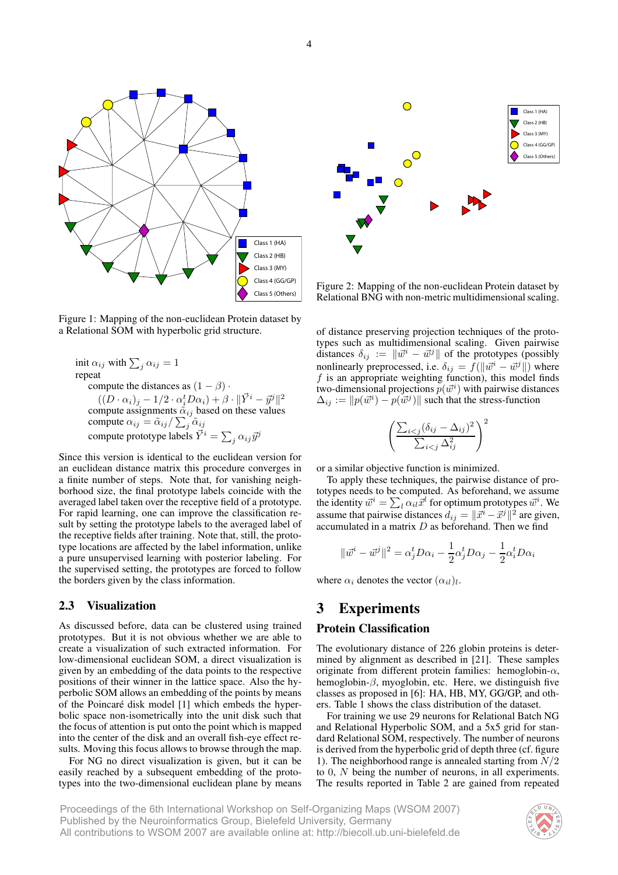

Figure 1: Mapping of the non-euclidean Protein dataset by a Relational SOM with hyperbolic grid structure.

init  $\alpha_{ij}$  with  $\sum_j \alpha_{ij} = 1$ repeat compute the distances as  $(1 - \beta)$ .  $((D \cdot \alpha_i)_j - 1/2 \cdot \alpha_i^t D \alpha_i) + \beta \cdot \|\vec{Y}^i - \vec{y}^j\|^2$ compute assignments  $\alpha_{ij}$  based on these values compute  $\alpha_{ij} = \tilde{\alpha}_{ij} / \sum_j \tilde{\alpha}_{ij}$ compute prototype labels  $\vec{Y}^i = \sum_j \alpha_{ij} \vec{y}^j$ 

Since this version is identical to the euclidean version for an euclidean distance matrix this procedure converges in a finite number of steps. Note that, for vanishing neighborhood size, the final prototype labels coincide with the averaged label taken over the receptive field of a prototype. For rapid learning, one can improve the classification result by setting the prototype labels to the averaged label of the receptive fields after training. Note that, still, the prototype locations are affected by the label information, unlike a pure unsupervised learning with posterior labeling. For the supervised setting, the prototypes are forced to follow the borders given by the class information.

#### **2.3 Visualization**

As discussed before, data can be clustered using trained prototypes. But it is not obvious whether we are able to create a visualization of such extracted information. For low-dimensional euclidean SOM, a direct visualization is given by an embedding of the data points to the respective positions of their winner in the lattice space. Also the hyperbolic SOM allows an embedding of the points by means of the Poincaré disk model [1] which embeds the hyperbolic space non-isometrically into the unit disk such that the focus of attention is put onto the point which is mapped into the center of the disk and an overall fish-eye effect results. Moving this focus allows to browse through the map.

For NG no direct visualization is given, but it can be easily reached by a subsequent embedding of the prototypes into the two-dimensional euclidean plane by means



Figure 2: Mapping of the non-euclidean Protein dataset by Relational BNG with non-metric multidimensional scaling.

of distance preserving projection techniques of the prototypes such as multidimensional scaling. Given pairwise distances  $\delta_{ij} := ||\vec{w}^i - \vec{w}^j||$  of the prototypes (possibly nonlinearly preprocessed, i.e.  $\delta_{ij} = f(||\vec{w}^i - \vec{w}^j||)$  where  $f$  is an appropriate weighting function), this model finds two-dimensional projections  $p(\vec{w}^i)$  with pairwise distances  $\Delta_{ij} := ||p(\vec{w}^i) - p(\vec{w}^j)||$  such that the stress-function

$$
\left(\frac{\sum_{i < j} (\delta_{ij} - \Delta_{ij})^2}{\sum_{i < j} \Delta_{ij}^2}\right)^2
$$

or a similar objective function is minimized.

To apply these techniques, the pairwise distance of prototypes needs to be computed. As beforehand, we assume the identity  $\vec{w}^i = \sum_l \alpha_{il} \vec{x}^l$  for optimum prototypes  $\vec{w}^i$ . We assume that pairwise distances  $d_{ij} = ||\vec{x}^i - \vec{x}^j||^2$  are given, accumulated in a matrix  $D$  as beforehand. Then we find

$$
\|\vec{w}^i - \vec{w}^j\|^2 = \alpha_j^t D \alpha_i - \frac{1}{2} \alpha_j^t D \alpha_j - \frac{1}{2} \alpha_i^t D \alpha_i
$$

where  $\alpha_i$  denotes the vector  $(\alpha_{il})_l$ .

## **3 Experiments**

#### **Protein Classification**

The evolutionary distance of 226 globin proteins is determined by alignment as described in [21]. These samples originate from different protein families: hemoglobin- $\alpha$ , hemoglobin- $\beta$ , myoglobin, etc. Here, we distinguish five classes as proposed in [6]: HA, HB, MY, GG/GP, and others. Table 1 shows the class distribution of the dataset.

For training we use 29 neurons for Relational Batch NG and Relational Hyperbolic SOM, and a 5x5 grid for standard Relational SOM, respectively. The number of neurons is derived from the hyperbolic grid of depth three (cf. figure 1). The neighborhood range is annealed starting from  $N/2$ to 0, N being the number of neurons, in all experiments. The results reported in Table 2 are gained from repeated

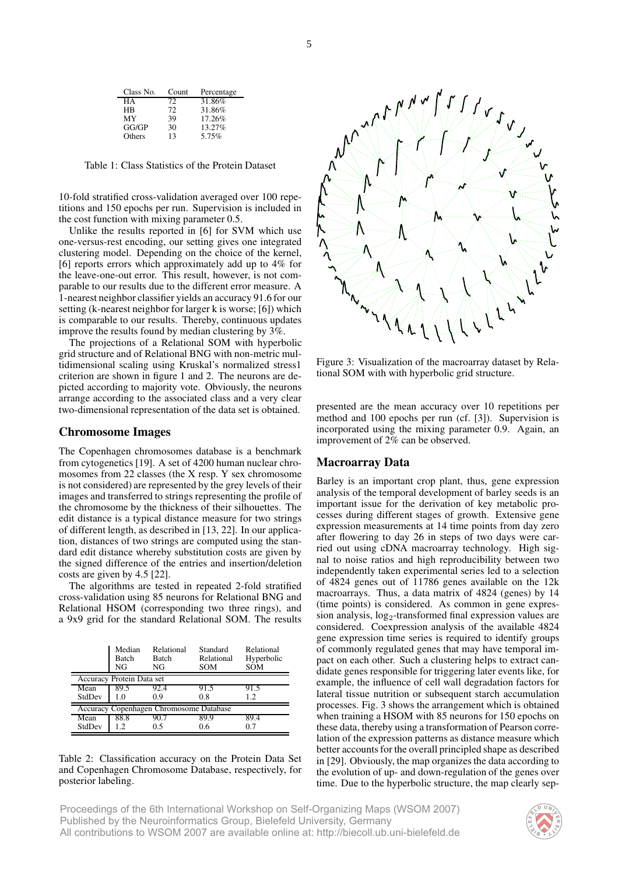| Class No. | Count | Percentage |
|-----------|-------|------------|
| HА        | 72.   | 31.86%     |
| <b>HR</b> | 72    | 31.86%     |
| MY        | 39    | 17.26%     |
| GG/GP     | 30    | 13.27%     |
| Others    | 13    | 5.75%      |

Table 1: Class Statistics of the Protein Dataset

10-fold stratified cross-validation averaged over 100 repetitions and 150 epochs per run. Supervision is included in the cost function with mixing parameter 0.5.

Unlike the results reported in [6] for SVM which use one-versus-rest encoding, our setting gives one integrated clustering model. Depending on the choice of the kernel, [6] reports errors which approximately add up to 4% for the leave-one-out error. This result, however, is not comparable to our results due to the different error measure. A 1-nearest neighbor classifier yields an accuracy 91.6 for our setting (k-nearest neighbor for larger k is worse; [6]) which is comparable to our results. Thereby, continuous updates improve the results found by median clustering by 3%.

The projections of a Relational SOM with hyperbolic grid structure and of Relational BNG with non-metric multidimensional scaling using Kruskal's normalized stress1 criterion are shown in figure 1 and 2. The neurons are depicted according to majority vote. Obviously, the neurons arrange according to the associated class and a very clear two-dimensional representation of the data set is obtained.

#### **Chromosome Images**

The Copenhagen chromosomes database is a benchmark from cytogenetics [19]. A set of 4200 human nuclear chromosomes from 22 classes (the X resp. Y sex chromosome is not considered) are represented by the grey levels of their images and transferred to strings representing the profile of the chromosome by the thickness of their silhouettes. The edit distance is a typical distance measure for two strings of different length, as described in [13, 22]. In our application, distances of two strings are computed using the standard edit distance whereby substitution costs are given by the signed difference of the entries and insertion/deletion costs are given by 4.5 [22].

The algorithms are tested in repeated 2-fold stratified cross-validation using 85 neurons for Relational BNG and Relational HSOM (corresponding two three rings), and a 9x9 grid for the standard Relational SOM. The results

|                                         | Median<br><b>Batch</b><br>NG | Relational<br><b>Batch</b><br>NG | Standard<br>Relational<br><b>SOM</b> | Relational<br>Hyperbolic<br><b>SOM</b> |  |
|-----------------------------------------|------------------------------|----------------------------------|--------------------------------------|----------------------------------------|--|
| Accuracy Protein Data set               |                              |                                  |                                      |                                        |  |
| Mean                                    | 89.5                         | 92.4                             | 91.5                                 | 91.5                                   |  |
| StdDev                                  | 1.0                          | 0.9                              | 0.8                                  | 1.2.                                   |  |
| Accuracy Copenhagen Chromosome Database |                              |                                  |                                      |                                        |  |
| Mean                                    | 88.8                         | 90.7                             | 89.9                                 | 89.4                                   |  |
| StdDev                                  | 1.2.                         | 0.5                              | 06                                   | 07                                     |  |

#### Table 2: Classification accuracy on the Protein Data Set and Copenhagen Chromosome Database, respectively, for posterior labeling.



Figure 3: Visualization of the macroarray dataset by Relational SOM with with hyperbolic grid structure.

presented are the mean accuracy over 10 repetitions per method and 100 epochs per run (cf. [3]). Supervision is incorporated using the mixing parameter 0.9. Again, an improvement of 2% can be observed.

#### **Macroarray Data**

Barley is an important crop plant, thus, gene expression analysis of the temporal development of barley seeds is an important issue for the derivation of key metabolic processes during different stages of growth. Extensive gene expression measurements at 14 time points from day zero after flowering to day 26 in steps of two days were carried out using cDNA macroarray technology. High signal to noise ratios and high reproducibility between two independently taken experimental series led to a selection of 4824 genes out of 11786 genes available on the 12k macroarrays. Thus, a data matrix of 4824 (genes) by 14 (time points) is considered. As common in gene expression analysis,  $log_2$ -transformed final expression values are considered. Coexpression analysis of the available 4824 gene expression time series is required to identify groups of commonly regulated genes that may have temporal impact on each other. Such a clustering helps to extract candidate genes responsible for triggering later events like, for example, the influence of cell wall degradation factors for lateral tissue nutrition or subsequent starch accumulation processes. Fig. 3 shows the arrangement which is obtained when training a HSOM with 85 neurons for 150 epochs on these data, thereby using a transformation of Pearson correlation of the expression patterns as distance measure which better accounts for the overall principled shape as described in [29]. Obviously, the map organizes the data according to the evolution of up- and down-regulation of the genes over time. Due to the hyperbolic structure, the map clearly sep-